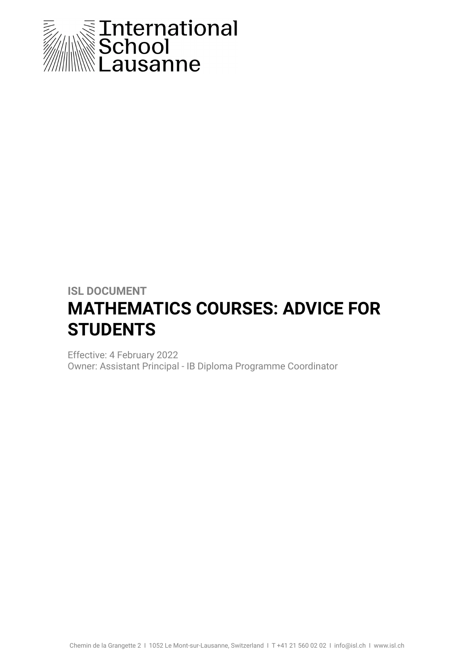

# **ISL DOCUMENT MATHEMATICS COURSES: ADVICE FOR STUDENTS**

Effective: 4 February 2022 Owner: Assistant Principal - IB Diploma Programme Coordinator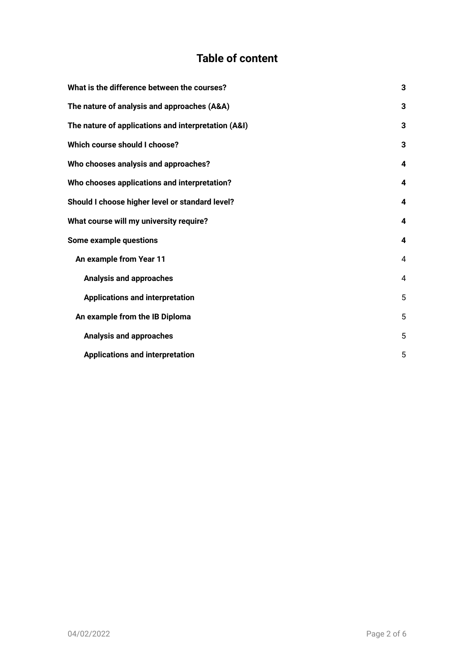## **Table of content**

| What is the difference between the courses?         | 3 |
|-----------------------------------------------------|---|
| The nature of analysis and approaches (A&A)         | 3 |
| The nature of applications and interpretation (A&I) | 3 |
| Which course should I choose?                       | 3 |
| Who chooses analysis and approaches?                | 4 |
| Who chooses applications and interpretation?        | 4 |
| Should I choose higher level or standard level?     | 4 |
| What course will my university require?             | 4 |
| <b>Some example questions</b>                       | 4 |
| An example from Year 11                             | 4 |
| <b>Analysis and approaches</b>                      | 4 |
| <b>Applications and interpretation</b>              | 5 |
| An example from the IB Diploma                      | 5 |
| <b>Analysis and approaches</b>                      | 5 |
| <b>Applications and interpretation</b>              | 5 |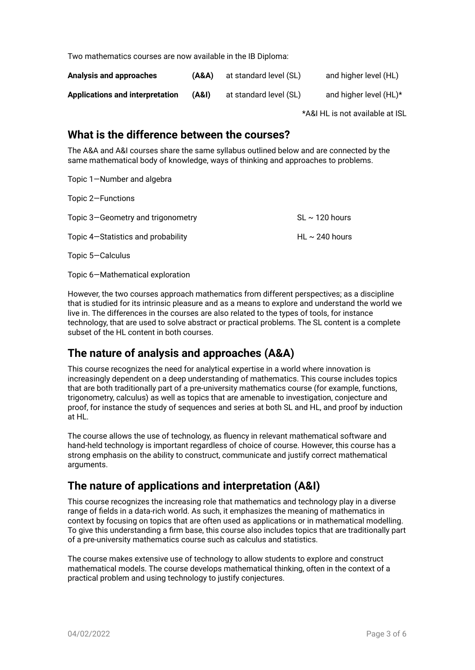Two mathematics courses are now available in the IB Diploma:

| Analysis and approaches         | (A&A) | at standard level (SL) | and higher level (HL)  |
|---------------------------------|-------|------------------------|------------------------|
| Applications and interpretation | (A&I) | at standard level (SL) | and higher level (HL)* |

\*A&I HL is not available at ISL

#### <span id="page-2-0"></span>**What is the difference between the courses?**

The A&A and A&I courses share the same syllabus outlined below and are connected by the same mathematical body of knowledge, ways of thinking and approaches to problems.

Topic 1—Number and algebra

Topic 2—Functions

| Topic 3–Geometry and trigonometry  | SL $\sim$ 120 hours |
|------------------------------------|---------------------|
| Topic 4–Statistics and probability | HL $\sim$ 240 hours |

Topic 5—Calculus

Topic 6—Mathematical exploration

However, the two courses approach mathematics from different perspectives; as a discipline that is studied for its intrinsic pleasure and as a means to explore and understand the world we live in. The differences in the courses are also related to the types of tools, for instance technology, that are used to solve abstract or practical problems. The SL content is a complete subset of the HL content in both courses.

### <span id="page-2-1"></span>**The nature of analysis and approaches (A&A)**

This course recognizes the need for analytical expertise in a world where innovation is increasingly dependent on a deep understanding of mathematics. This course includes topics that are both traditionally part of a pre-university mathematics course (for example, functions, trigonometry, calculus) as well as topics that are amenable to investigation, conjecture and proof, for instance the study of sequences and series at both SL and HL, and proof by induction at HL.

The course allows the use of technology, as fluency in relevant mathematical software and hand-held technology is important regardless of choice of course. However, this course has a strong emphasis on the ability to construct, communicate and justify correct mathematical arguments.

### <span id="page-2-2"></span>**The nature of applications and interpretation (A&I)**

This course recognizes the increasing role that mathematics and technology play in a diverse range of fields in a data-rich world. As such, it emphasizes the meaning of mathematics in context by focusing on topics that are often used as applications or in mathematical modelling. To give this understanding a firm base, this course also includes topics that are traditionally part of a pre-university mathematics course such as calculus and statistics.

The course makes extensive use of technology to allow students to explore and construct mathematical models. The course develops mathematical thinking, often in the context of a practical problem and using technology to justify conjectures.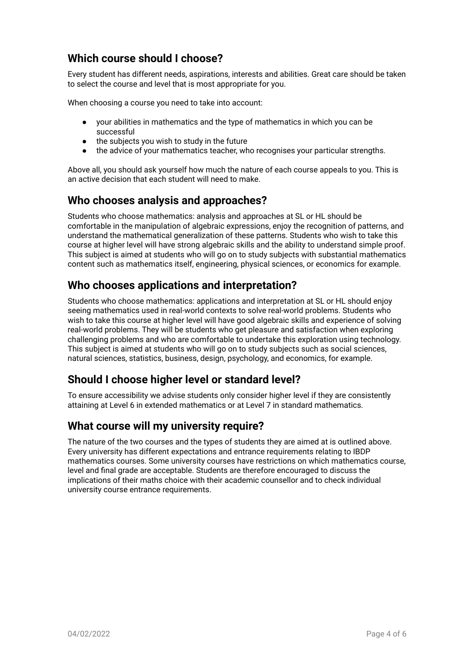### <span id="page-3-0"></span>**Which course should I choose?**

Every student has different needs, aspirations, interests and abilities. Great care should be taken to select the course and level that is most appropriate for you.

When choosing a course you need to take into account:

- your abilities in mathematics and the type of mathematics in which you can be successful
- the subjects you wish to study in the future
- the advice of your mathematics teacher, who recognises your particular strengths.

Above all, you should ask yourself how much the nature of each course appeals to you. This is an active decision that each student will need to make.

#### <span id="page-3-1"></span>**Who chooses analysis and approaches?**

Students who choose mathematics: analysis and approaches at SL or HL should be comfortable in the manipulation of algebraic expressions, enjoy the recognition of patterns, and understand the mathematical generalization of these patterns. Students who wish to take this course at higher level will have strong algebraic skills and the ability to understand simple proof. This subject is aimed at students who will go on to study subjects with substantial mathematics content such as mathematics itself, engineering, physical sciences, or economics for example.

### <span id="page-3-2"></span>**Who chooses applications and interpretation?**

Students who choose mathematics: applications and interpretation at SL or HL should enjoy seeing mathematics used in real-world contexts to solve real-world problems. Students who wish to take this course at higher level will have good algebraic skills and experience of solving real-world problems. They will be students who get pleasure and satisfaction when exploring challenging problems and who are comfortable to undertake this exploration using technology. This subject is aimed at students who will go on to study subjects such as social sciences, natural sciences, statistics, business, design, psychology, and economics, for example.

### <span id="page-3-3"></span>**Should I choose higher level or standard level?**

To ensure accessibility we advise students only consider higher level if they are consistently attaining at Level 6 in extended mathematics or at Level 7 in standard mathematics.

### <span id="page-3-4"></span>**What course will my university require?**

The nature of the two courses and the types of students they are aimed at is outlined above. Every university has different expectations and entrance requirements relating to IBDP mathematics courses. Some university courses have restrictions on which mathematics course, level and final grade are acceptable. Students are therefore encouraged to discuss the implications of their maths choice with their academic counsellor and to check individual university course entrance requirements.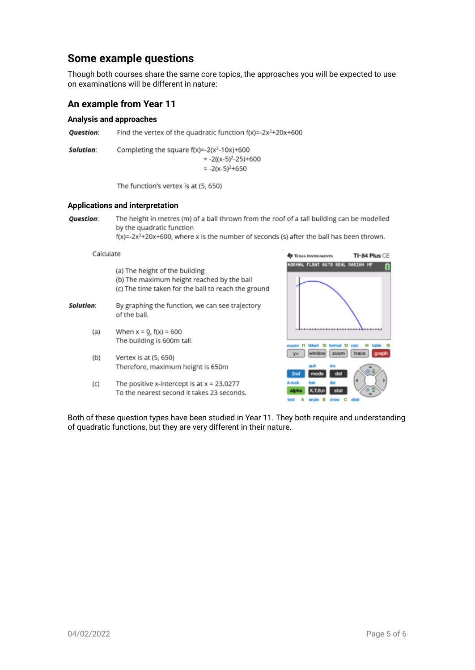#### **Some example questions**

Though both courses share the same core topics, the approaches you will be expected to use on examinations will be different in nature:

#### <span id="page-4-0"></span>**An example from Year 11**

#### <span id="page-4-1"></span>**Analysis and approaches**

**Ouestion:** Find the vertex of the quadratic function  $f(x) = -2x^2 + 20x + 600$ 

Solution: Completing the square  $f(x) = -2(x^2 - 10x) + 600$  $= -2((x-5)^2-25)+600$  $= -2(x-5)^{2}+650$ 

The function's vertex is at (5, 650)

#### <span id="page-4-2"></span>**Applications and interpretation**

**Question:** The height in metres (m) of a ball thrown from the roof of a tall building can be modelled by the quadratic function

 $f(x) = -2x^2 + 20x + 600$ , where x is the number of seconds (s) after the ball has been thrown.

Calculate

- (a) The height of the building (b) The maximum height reached by the ball (c) The time taken for the ball to reach the ground
- Solution: By graphing the function, we can see trajectory of the ball.
	- When  $x = 0$ ,  $f(x) = 600$  $(a)$ The building is 600m tall.
	- $(b)$ Vertex is at (5, 650) Therefore, maximum height is 650m
	- The positive x-intercept is at  $x = 23.0277$  $(C)$ To the nearest second it takes 23 seconds.



<span id="page-4-3"></span>Both of these question types have been studied in Year 11. They both require and understanding of quadratic functions, but they are very different in their nature.